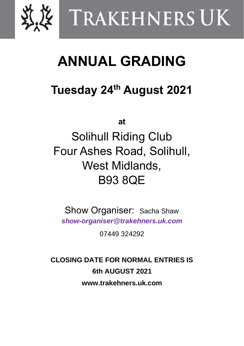

# TRAKEHNERS UK

## **ANNUAL GRADING**

## **Tuesday 24 th August 2021**

**at**

Solihull Riding Club Four Ashes Road, Solihull, West Midlands, B93 8QE

Show Organiser: Sacha Shaw *[show-organiser@trakehners.uk.com](mailto:show-organiser@trakehners.uk.com)*

07449 324292

**CLOSING DATE FOR NORMAL ENTRIES IS 6th AUGUST 2021 www.trakehners.uk.com**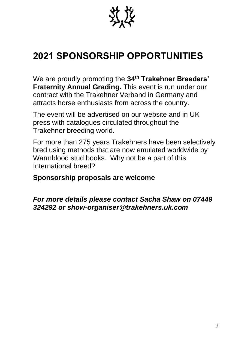

## **2021 SPONSORSHIP OPPORTUNITIES**

We are proudly promoting the **34 th Trakehner Breeders' Fraternity Annual Grading.** This event is run under our contract with the Trakehner Verband in Germany and attracts horse enthusiasts from across the country.

The event will be advertised on our website and in UK press with catalogues circulated throughout the Trakehner breeding world.

For more than 275 years Trakehners have been selectively bred using methods that are now emulated worldwide by Warmblood stud books. Why not be a part of this International breed?

#### **Sponsorship proposals are welcome**

*For more details please contact Sacha Shaw on 07449 324292 or [show-organiser@trakehners.uk.com](mailto:show-organiser@trakehners.uk.com)*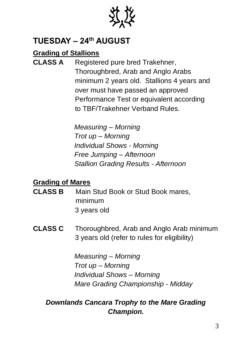

### **TUESDAY – 24 th AUGUST**

#### **Grading of Stallions**

**CLASS A** Registered pure bred Trakehner, Thoroughbred, Arab and Anglo Arabs minimum 2 years old. Stallions 4 years and over must have passed an approved Performance Test or equivalent according to TBF/Trakehner Verband Rules.

> *Measuring – Morning Trot up – Morning Individual Shows - Morning Free Jumping – Afternoon Stallion Grading Results - Afternoon*

#### **Grading of Mares**

- **CLASS B** Main Stud Book or Stud Book mares, minimum 3 years old
- **CLASS C** Thoroughbred, Arab and Anglo Arab minimum 3 years old (refer to rules for eligibility)

*Measuring – Morning Trot up – Morning Individual Shows – Morning Mare Grading Championship - Midday*

#### *Downlands Cancara Trophy to the Mare Grading Champion.*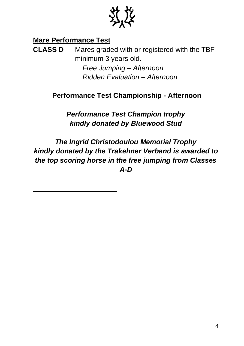

#### **Mare Performance Test**

**CLASS D** Mares graded with or registered with the TBF minimum 3 years old. *Free Jumping – Afternoon Ridden Evaluation – Afternoon*

#### **Performance Test Championship - Afternoon**

*Performance Test Champion trophy kindly donated by Bluewood Stud* 

*The Ingrid Christodoulou Memorial Trophy kindly donated by the Trakehner Verband is awarded to the top scoring horse in the free jumping from Classes A-D*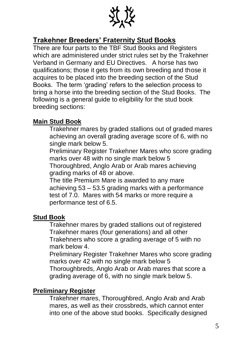

#### **Trakehner Breeders' Fraternity Stud Books**

There are four parts to the TBF Stud Books and Registers which are administered under strict rules set by the Trakehner Verband in Germany and EU Directives. A horse has two qualifications; those it gets from its own breeding and those it acquires to be placed into the breeding section of the Stud Books. The term 'grading' refers to the selection process to bring a horse into the breeding section of the Stud Books. The following is a general guide to eligibility for the stud book breeding sections:

#### **Main Stud Book**

Trakehner mares by graded stallions out of graded mares achieving an overall grading average score of 6, with no single mark below 5.

Preliminary Register Trakehner Mares who score grading marks over 48 with no single mark below 5

Thoroughbred, Anglo Arab or Arab mares achieving grading marks of 48 or above.

The title Premium Mare is awarded to any mare achieving 53 – 53.5 grading marks with a performance test of 7.0. Mares with 54 marks or more require a performance test of 6.5.

#### **Stud Book**

Trakehner mares by graded stallions out of registered Trakehner mares (four generations) and all other Trakehners who score a grading average of 5 with no mark below 4.

Preliminary Register Trakehner Mares who score grading marks over 42 with no single mark below 5 Thoroughbreds, Anglo Arab or Arab mares that score a grading average of 6, with no single mark below 5.

#### **Preliminary Register**

Trakehner mares, Thoroughbred, Anglo Arab and Arab mares, as well as their crossbreds, which cannot enter into one of the above stud books. Specifically designed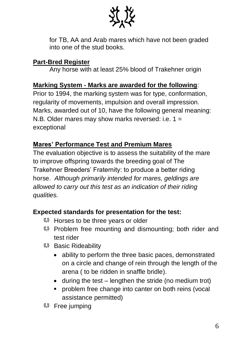

for TB, AA and Arab mares which have not been graded into one of the stud books.

#### **Part-Bred Register**

Any horse with at least 25% blood of Trakehner origin

#### **Marking System - Marks are awarded for the following**:

Prior to 1994, the marking system was for type, conformation, regularity of movements, impulsion and overall impression. Marks, awarded out of 10, have the following general meaning: N.B. Older mares may show marks reversed: i.e.  $1 =$ exceptional

#### **Mares' Performance Test and Premium Mares**

The evaluation objective is to assess the suitability of the mare to improve offspring towards the breeding goal of The Trakehner Breeders' Fraternity: to produce a better riding horse. *Although primarily intended for mares, geldings are allowed to carry out this test as an indication of their riding qualities.*

#### **Expected standards for presentation for the test:**

- **\*\*** Horses to be three years or older
- **\*\*** Problem free mounting and dismounting; both rider and test rider
- **\* Basic Rideability** 
	- ability to perform the three basic paces, demonstrated on a circle and change of rein through the length of the arena ( to be ridden in snaffle bridle).
	- during the test lengthen the stride (no medium trot)
	- **•** problem free change into canter on both reins (vocal assistance permitted)
- **\*\*** Free jumping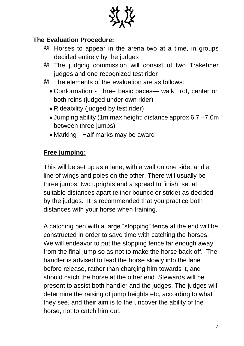

#### **The Evaluation Procedure:**

- Horses to appear in the arena two at a time, in groups decided entirely by the judges
- **\* The judging commission will consist of two Trakehner** judges and one recognized test rider
- $\frac{m}{2}$  The elements of the evaluation are as follows:
	- Conformation Three basic paces— walk, trot, canter on both reins (judged under own rider)
	- Rideability (judged by test rider)
	- Jumping ability (1m max height; distance approx 6.7 –7.0m between three jumps)
	- Marking Half marks may be award

#### **Free jumping:**

This will be set up as a lane, with a wall on one side, and a line of wings and poles on the other. There will usually be three jumps, two uprights and a spread to finish, set at suitable distances apart (either bounce or stride) as decided by the judges. It is recommended that you practice both distances with your horse when training.

A catching pen with a large "stopping" fence at the end will be constructed in order to save time with catching the horses. We will endeavor to put the stopping fence far enough away from the final jump so as not to make the horse back off. The handler is advised to lead the horse slowly into the lane before release, rather than charging him towards it, and should catch the horse at the other end. Stewards will be present to assist both handler and the judges. The judges will determine the raising of jump heights etc, according to what they see, and their aim is to the uncover the ability of the horse, not to catch him out.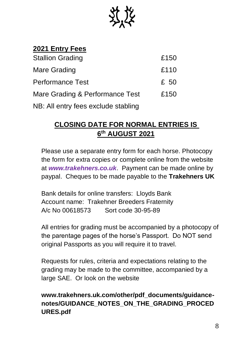

#### **2021 Entry Fees**

| <b>Stallion Grading</b>             | £150 |
|-------------------------------------|------|
| Mare Grading                        | £110 |
| <b>Performance Test</b>             | £ 50 |
| Mare Grading & Performance Test     | £150 |
| NB: All entry fees exclude stabling |      |

#### **CLOSING DATE FOR NORMAL ENTRIES IS 6 th AUGUST 2021**

Please use a separate entry form for each horse. Photocopy the form for extra copies or complete online from the website at *[www.trakehners.co.uk](http://www.trakehners.co.uk/)*. Payment can be made online by paypal. Cheques to be made payable to the **Trakehners UK** 

Bank details for online transfers: Lloyds Bank Account name: Trakehner Breeders Fraternity A/c No 00618573 Sort code 30-95-89

All entries for grading must be accompanied by a photocopy of the parentage pages of the horse's Passport. Do NOT send original Passports as you will require it to travel.

Requests for rules, criteria and expectations relating to the grading may be made to the committee, accompanied by a large SAE. Or look on the website

#### **www.trakehners.uk.com/other/pdf\_documents/guidancenotes/GUIDANCE\_NOTES\_ON\_THE\_GRADING\_PROCED URES.pdf**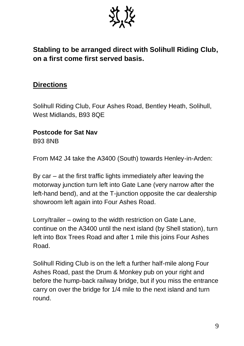

#### **Stabling to be arranged direct with Solihull Riding Club, on a first come first served basis.**

#### **Directions**

Solihull Riding Club, Four Ashes Road, Bentley Heath, Solihull, West Midlands, B93 8QE

## **Postcode for Sat Nav**

B93 8NB

From M42 J4 take the A3400 (South) towards Henley-in-Arden:

By car – at the first traffic lights immediately after leaving the motorway junction turn left into Gate Lane (very narrow after the left-hand bend), and at the T-junction opposite the car dealership showroom left again into Four Ashes Road.

Lorry/trailer – owing to the width restriction on Gate Lane, continue on the A3400 until the next island (by Shell station), turn left into Box Trees Road and after 1 mile this joins Four Ashes Road.

Solihull Riding Club is on the left a further half-mile along Four Ashes Road, past the Drum & Monkey pub on your right and before the hump-back railway bridge, but if you miss the entrance carry on over the bridge for 1/4 mile to the next island and turn round.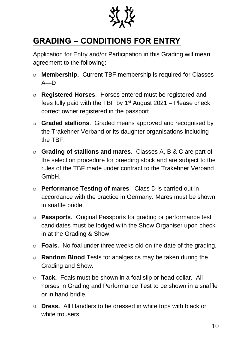

### **GRADING – CONDITIONS FOR ENTRY**

Application for Entry and/or Participation in this Grading will mean agreement to the following:

- **Membership.** Current TBF membership is required for Classes  $A$ — $D$
- **Registered Horses**. Horses entered must be registered and fees fully paid with the TBF by  $1<sup>st</sup>$  August 2021 – Please check correct owner registered in the passport
- **Graded stallions**. Graded means approved and recognised by the Trakehner Verband or its daughter organisations including the TBF.
- **Grading of stallions and mares**. Classes A, B & C are part of the selection procedure for breeding stock and are subject to the rules of the TBF made under contract to the Trakehner Verband GmbH.
- **Performance Testing of mares**. Class D is carried out in accordance with the practice in Germany. Mares must be shown in snaffle bridle.
- **Passports**. Original Passports for grading or performance test candidates must be lodged with the Show Organiser upon check in at the Grading & Show.
- **Foals.** No foal under three weeks old on the date of the grading.
- **Random Blood** Tests for analgesics may be taken during the Grading and Show.
- **Tack.** Foals must be shown in a foal slip or head collar. All horses in Grading and Performance Test to be shown in a snaffle or in hand bridle.
- **Dress.** All Handlers to be dressed in white tops with black or white trousers.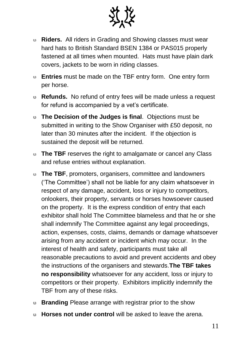

- **Riders.** All riders in Grading and Showing classes must wear hard hats to British Standard BSEN 1384 or PAS015 properly fastened at all times when mounted. Hats must have plain dark covers, jackets to be worn in riding classes.
- **Entries** must be made on the TBF entry form. One entry form per horse.
- **Refunds.** No refund of entry fees will be made unless a request for refund is accompanied by a vet's certificate.
- **The Decision of the Judges is final**. Objections must be submitted in writing to the Show Organiser with £50 deposit, no later than 30 minutes after the incident. If the objection is sustained the deposit will be returned.
- **The TBF** reserves the right to amalgamate or cancel any Class and refuse entries without explanation.
- **The TBF**, promoters, organisers, committee and landowners ('The Committee') shall not be liable for any claim whatsoever in respect of any damage, accident, loss or injury to competitors, onlookers, their property, servants or horses howsoever caused on the property. It is the express condition of entry that each exhibitor shall hold The Committee blameless and that he or she shall indemnify The Committee against any legal proceedings, action, expenses, costs, claims, demands or damage whatsoever arising from any accident or incident which may occur. In the interest of health and safety, participants must take all reasonable precautions to avoid and prevent accidents and obey the instructions of the organisers and stewards.**The TBF takes no responsibility** whatsoever for any accident, loss or injury to competitors or their property. Exhibitors implicitly indemnify the TBF from any of these risks.
- **Branding** Please arrange with registrar prior to the show
- **Horses not under control** will be asked to leave the arena.